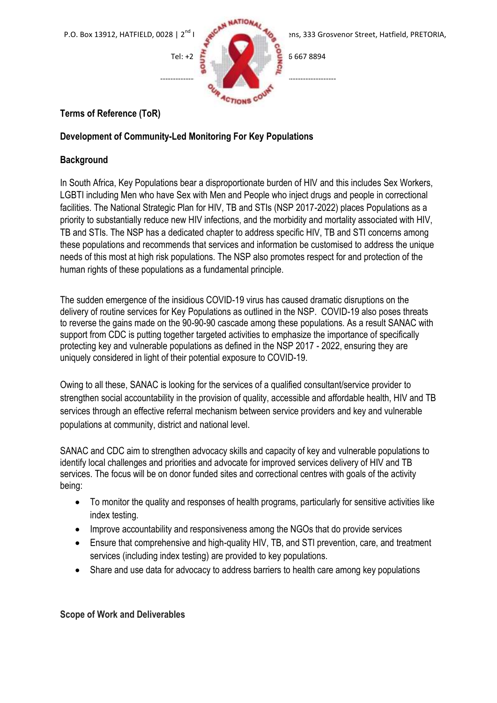

# **Terms of Reference (ToR)**

### **Development of Community-Led Monitoring For Key Populations**

## **Background**

In South Africa, Key Populations bear a disproportionate burden of HIV and this includes Sex Workers, LGBTI including Men who have Sex with Men and People who inject drugs and people in correctional facilities. The National Strategic Plan for HIV, TB and STIs (NSP 2017-2022) places Populations as a priority to substantially reduce new HIV infections, and the morbidity and mortality associated with HIV, TB and STIs. The NSP has a dedicated chapter to address specific HIV, TB and STI concerns among these populations and recommends that services and information be customised to address the unique needs of this most at high risk populations. The NSP also promotes respect for and protection of the human rights of these populations as a fundamental principle.

The sudden emergence of the insidious COVID-19 virus has caused dramatic disruptions on the delivery of routine services for Key Populations as outlined in the NSP. COVID-19 also poses threats to reverse the gains made on the 90-90-90 cascade among these populations. As a result SANAC with support from CDC is putting together targeted activities to emphasize the importance of specifically protecting key and vulnerable populations as defined in the NSP 2017 - 2022, ensuring they are uniquely considered in light of their potential exposure to COVID-19.

Owing to all these, SANAC is looking for the services of a qualified consultant/service provider to strengthen social accountability in the provision of quality, accessible and affordable health, HIV and TB services through an effective referral mechanism between service providers and key and vulnerable populations at community, district and national level.

SANAC and CDC aim to strengthen advocacy skills and capacity of key and vulnerable populations to identify local challenges and priorities and advocate for improved services delivery of HIV and TB services. The focus will be on donor funded sites and correctional centres with goals of the activity being:

- To monitor the quality and responses of health programs, particularly for sensitive activities like index testing.
- Improve accountability and responsiveness among the NGOs that do provide services
- Ensure that comprehensive and high-quality HIV, TB, and STI prevention, care, and treatment services (including index testing) are provided to key populations.
- Share and use data for advocacy to address barriers to health care among key populations

### **Scope of Work and Deliverables**